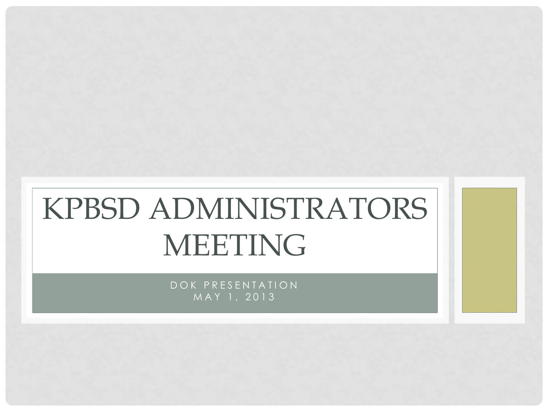# KPBSD ADMINISTRATORS MEETING

DOK PRESENTATION MAY 1, 2013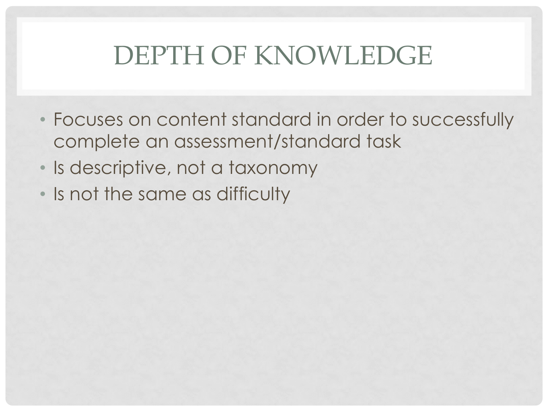#### DEPTH OF KNOWLEDGE

- Focuses on content standard in order to successfully complete an assessment/standard task
- Is descriptive, not a taxonomy
- Is not the same as difficulty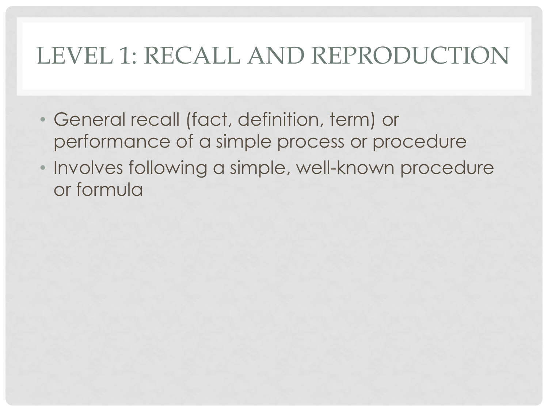#### LEVEL 1: RECALL AND REPRODUCTION

- General recall (fact, definition, term) or performance of a simple process or procedure
- Involves following a simple, well-known procedure or formula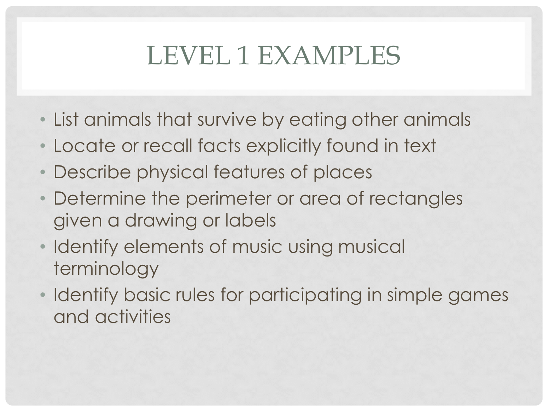## LEVEL 1 EXAMPLES

- List animals that survive by eating other animals
- Locate or recall facts explicitly found in text
- Describe physical features of places
- Determine the perimeter or area of rectangles given a drawing or labels
- Identify elements of music using musical terminology
- Identify basic rules for participating in simple games and activities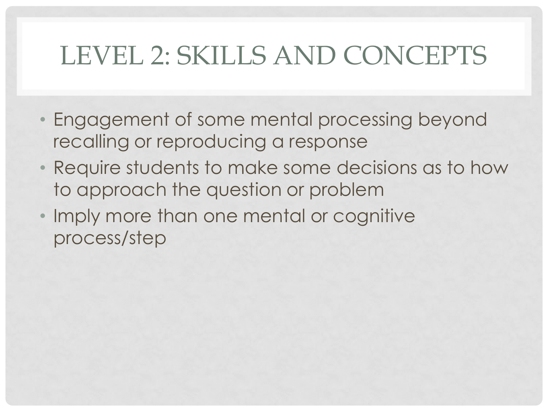## LEVEL 2: SKILLS AND CONCEPTS

- Engagement of some mental processing beyond recalling or reproducing a response
- Require students to make some decisions as to how to approach the question or problem
- Imply more than one mental or cognitive process/step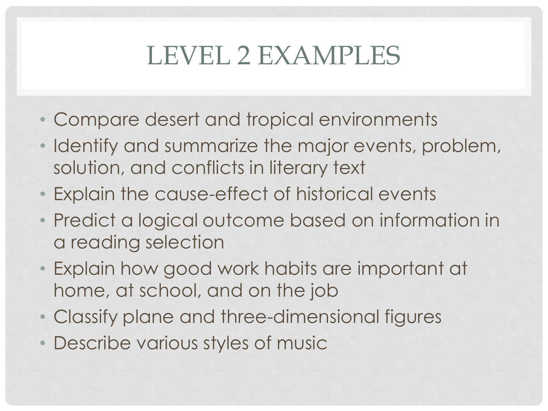## LEVEL 2 EXAMPLES

- Compare desert and tropical environments
- Identify and summarize the major events, problem, solution, and conflicts in literary text
- Explain the cause-effect of historical events
- Predict a logical outcome based on information in a reading selection
- Explain how good work habits are important at home, at school, and on the job
- Classify plane and three-dimensional figures
- Describe various styles of music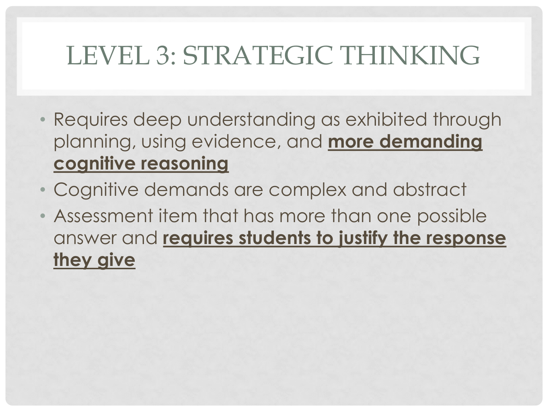## LEVEL 3: STRATEGIC THINKING

- Requires deep understanding as exhibited through planning, using evidence, and **more demanding cognitive reasoning**
- Cognitive demands are complex and abstract
- Assessment item that has more than one possible answer and **requires students to justify the response they give**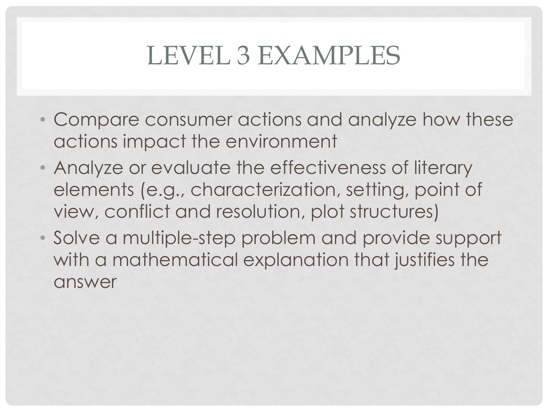## LEVEL 3 EXAMPLES

- Compare consumer actions and analyze how these actions impact the environment
- Analyze or evaluate the effectiveness of literary elements (e.g., characterization, setting, point of view, conflict and resolution, plot structures)
- Solve a multiple-step problem and provide support with a mathematical explanation that justifies the answer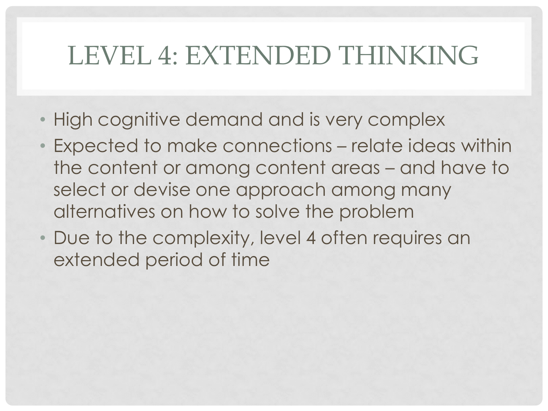#### LEVEL 4: EXTENDED THINKING

- High cognitive demand and is very complex
- Expected to make connections relate ideas within the content or among content areas – and have to select or devise one approach among many alternatives on how to solve the problem
- Due to the complexity, level 4 often requires an extended period of time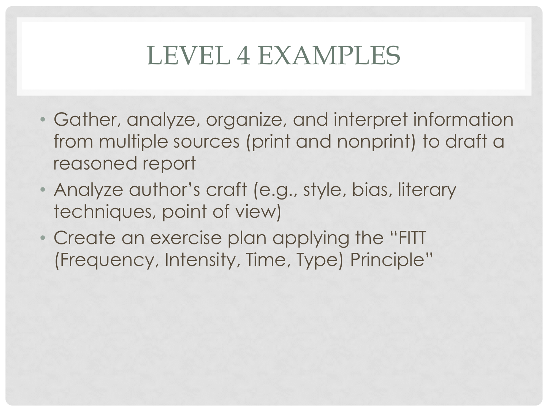#### LEVEL 4 EXAMPLES

- Gather, analyze, organize, and interpret information from multiple sources (print and nonprint) to draft a reasoned report
- Analyze author's craft (e.g., style, bias, literary techniques, point of view)
- Create an exercise plan applying the "FITT (Frequency, Intensity, Time, Type) Principle"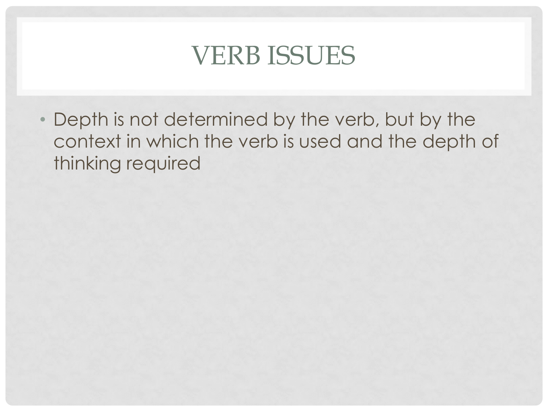#### VERB ISSUES

• Depth is not determined by the verb, but by the context in which the verb is used and the depth of thinking required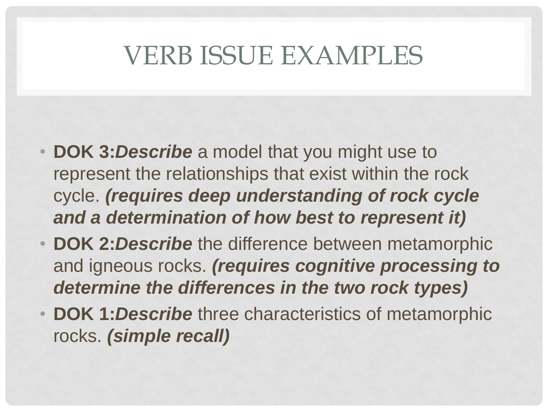#### VERB ISSUE EXAMPLES

- **DOK 3:***Describe* a model that you might use to represent the relationships that exist within the rock cycle. *(requires deep understanding of rock cycle and a determination of how best to represent it)*
- **DOK 2:***Describe* the difference between metamorphic and igneous rocks. *(requires cognitive processing to determine the differences in the two rock types)*
- **DOK 1:***Describe* three characteristics of metamorphic rocks. *(simple recall)*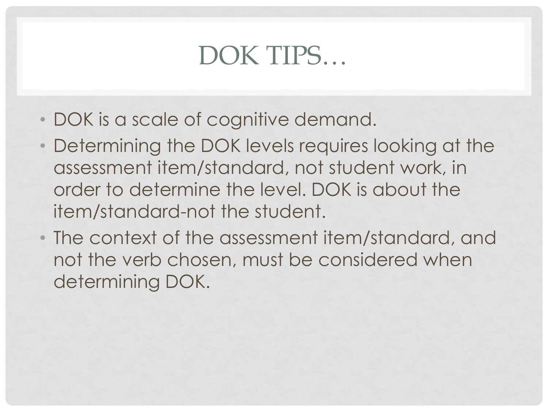#### DOK TIPS…

- DOK is a scale of cognitive demand.
- Determining the DOK levels requires looking at the assessment item/standard, not student work, in order to determine the level. DOK is about the item/standard-not the student.
- The context of the assessment item/standard, and not the verb chosen, must be considered when determining DOK.